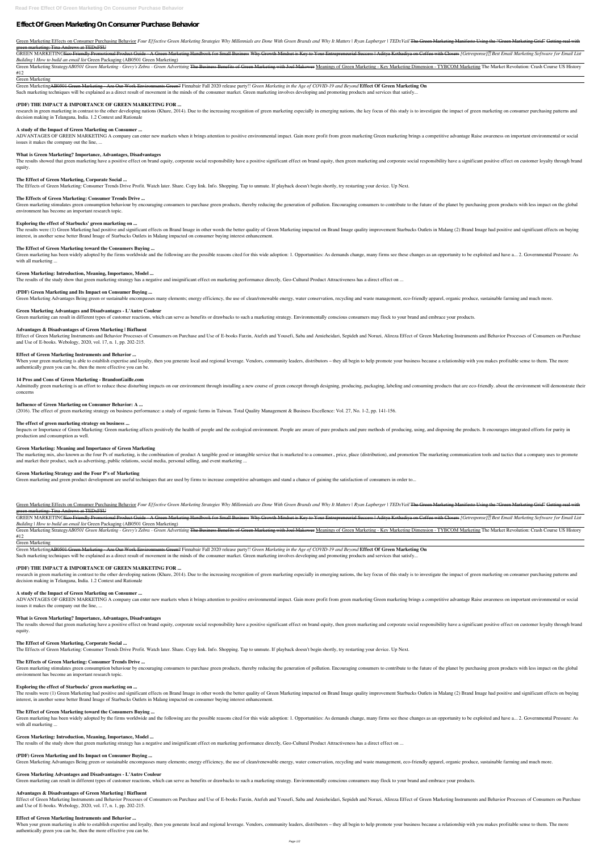# **Effect Of Green Marketing On Consumer Purchase Behavior**

Green Marketing Effects on Consumer Purchasing Behavior Four Effective Green Marketing Strategies Why Millennials are Done With Green Brands and Why It Matters | Ryan Lupberger | TEDx Vail The Green Marketing Manifesto Usi green marketing: Tina Andrews at TEDxFSU

GREEN MARKETING<del>Eco Friendly Promotional Product Guide - A Green Marketing Handbook for Small Business Why Growth Mindset is Key to Your Entrepreneurial Success | Aditya Kothadiya on Coffee with Closers [Getresponse][7] Be</del> *Building | How to build an email list* Green Packaging (AB0501 Green Marketing)

Green Marketing Strategy AB0501 Green Marketing - Grevy's Zebra - Green Advertising The Business Benefits of Green Marketing with Joel Makower Meanings of Green Marketing - Key Marketing Dimension - TYBCOM Marketing The Ma #12

Green MarketingAB0501 Green Marketing - Are Our Work Environments Green? Finnabair Fall 2020 release party!! *Green Marketing in the Age of COVID-19 and Beyond* **Effect Of Green Marketing On** Such marketing techniques will be explained as a direct result of movement in the minds of the consumer market. Green marketing involves developing and promoting products and services that satisfy...

research in green marketing in contrast to the other developing nations (Khare, 2014). Due to the increasing recognition of green marketing especially in emerging nations, the key focus of this study is to investigate the decision making in Telangana, India. 1.2 Context and Rationale

Green Marketing

ADVANTAGES OF GREEN MARKETING A company can enter new markets when it brings attention to positive environmental impact. Gain more profit from green marketing Green marketing brings a competitive advantage Raise awareness issues it makes the company out the line, ...

The results showed that green marketing have a positive effect on brand equity, corporate social responsibility have a positive significant effect on brand equity, then green marketing and corporate social responsibility h equity.

## **(PDF) THE IMPACT & IMPORTANCE OF GREEN MARKETING FOR ...**

Green marketing stimulates green consumption behaviour by encouraging consumers to purchase green products, thereby reducing the generation of pollution. Encouraging consumers to contribute to the future of the planet by p environment has become an important research topic.

The results were (1) Green Marketing had positive and significant effects on Brand Image in other words the better quality of Green Marketing impacted on Brand Image quality improvement Starbucks Outlets in Malang (2) Bran interest, in another sense better Brand Image of Starbucks Outlets in Malang impacted on consumer buying interest enhancement.

## **A study of the Impact of Green Marketing on Consumer ...**

Green marketing has been widely adopted by the firms worldwide and the following are the possible reasons cited for this wide adoption: 1. Opportunities: As demands change, many firms see these changes as an opportunity to with all marketing ...

#### **What is Green Marketing? Importance, Advantages, Disadvantages**

## **The Effect of Green Marketing, Corporate Social ...**

Effect of Green Marketing Instruments and Behavior Processes of Consumers on Purchase and Use of E-books Farzin, Atefeh and Yousefi, Saba and Amieheidari, Sepideh and Noruzi, Alireza Effect of Green Marketing Instruments a and Use of E-books. Webology, 2020, vol. 17, n. 1, pp. 202-215.

The Effects of Green Marketing: Consumer Trends Drive Profit. Watch later. Share. Copy link. Info. Shopping. Tap to unmute. If playback doesn't begin shortly, try restarting your device. Up Next.

When your green marketing is able to establish expertise and loyalty, then you generate local and regional leverage. Vendors, community leaders, distributors – they all begin to help promote your business because a relatio authentically green you can be, then the more effective you can be.

## **The Effects of Green Marketing: Consumer Trends Drive ...**

Admittedly green marketing is an effort to reduce these disturbing impacts on our environment through installing a new course of green concept through designing, producing, packaging, labeling and consuming products that a concerns

## **Exploring the effect of Starbucks' green marketing on ...**

Impacts or Importance of Green Marketing: Green marketing affects positively the health of people and the ecological environment. People are aware of pure products and pure methods of producing, using, and disposing the pr production and consumption as well.

The marketing mix, also known as the four Ps of marketing, is the combination of product A tangible good or intangible service that is marketed to a consumer., price, place (distribution), and promotion The marketing commu and market their product, such as advertising, public relations, social media, personal selling, and event marketing ...

## **The Effect of Green Marketing toward the Consumers Buying ...**

Green Marketing Effects on Consumer Purchasing Behavior Four Effective Green Marketing Strategies Why Millennials are Done With Green Brands and Why It Matters | Ryan Lupberger | TEDx Vail The Green Marketing Manifesto Usi green marketing: Tina Andrews at TEDxFSU

GREEN MARKETING<del>Eco Friendly Promotional Product Guide - A Green Marketing Handbook for Small Business Why Growth Mindset is Key to Your Entrepreneurial Success | Aditya Kothadiya on Coffee with Closers [Getresponse][7] Be</del> *Building | How to build an email list* Green Packaging (AB0501 Green Marketing)

## **Green Marketing: Introduction, Meaning, Importance, Model ...**

The results of the study show that green marketing strategy has a negative and insignificant effect on marketing performance directly, Geo-Cultural Product Attractiveness has a direct effect on ...

Green Marketing StrategyAB0501 Green Marketing - Grevy's Zebra - Green Advertising The Business Benefits of Green Marketing with Joel Makower Meanings of Green Marketing - Key Marketing Dimension - TYBCOM Marketing The Mar #12

Green MarketingAB0501 Green Marketing - Are Our Work Environments Green? Finnabair Fall 2020 release party!! *Green Marketing in the Age of COVID-19 and Beyond* **Effect Of Green Marketing On** Such marketing techniques will be explained as a direct result of movement in the minds of the consumer market. Green marketing involves developing and promoting products and services that satisfy...

## **(PDF) Green Marketing and Its Impact on Consumer Buying ...**

Green Marketing Advantages Being green or sustainable encompasses many elements; energy efficiency, the use of clean/renewable energy, water conservation, recycling and waste management, eco-friendly apparel, organic produ

research in green marketing in contrast to the other developing nations (Khare, 2014). Due to the increasing recognition of green marketing especially in emerging nations, the key focus of this study is to investigate the decision making in Telangana, India. 1.2 Context and Rationale

#### **Green Marketing Advantages and Disadvantages - L'Autre Couleur**

Green marketing can result in different types of customer reactions, which can serve as benefits or drawbacks to such a marketing strategy. Environmentally conscious consumers may flock to your brand and embrace your produ

ADVANTAGES OF GREEN MARKETING A company can enter new markets when it brings attention to positive environmental impact. Gain more profit from green marketing Green marketing brings a competitive advantage Raise awareness issues it makes the company out the line, ...

The results showed that green marketing have a positive effect on brand equity, corporate social responsibility have a positive significant effect on brand equity, then green marketing and corporate social responsibility h equity.

#### **Advantages & Disadvantages of Green Marketing | Bizfluent**

Green marketing stimulates green consumption behaviour by encouraging consumers to purchase green products, thereby reducing the generation of pollution. Encouraging consumers to contribute to the future of the planet by p environment has become an important research topic.

## **Effect of Green Marketing Instruments and Behavior ...**

The results were (1) Green Marketing had positive and significant effects on Brand Image in other words the better quality of Green Marketing impacted on Brand Image quality improvement Starbucks Outlets in Malang (2) Bran interest, in another sense better Brand Image of Starbucks Outlets in Malang impacted on consumer buying interest enhancement.

Green marketing has been widely adopted by the firms worldwide and the following are the possible reasons cited for this wide adoption: 1. Opportunities: As demands change, many firms see these changes as an opportunity to with all marketing ...

## **14 Pros and Cons of Green Marketing - BrandonGaille.com**

## **Influence of Green Marketing on Consumer Behavior: A ...**

(2016). The effect of green marketing strategy on business performance: a study of organic farms in Taiwan. Total Quality Management & Business Excellence: Vol. 27, No. 1-2, pp. 141-156.

Effect of Green Marketing Instruments and Behavior Processes of Consumers on Purchase and Use of E-books Farzin, Atefeh and Yousefi, Saba and Amieheidari, Sepideh and Noruzi, Alireza Effect of Green Marketing Instruments a and Use of E-books. Webology, 2020, vol. 17, n. 1, pp. 202-215.

## **The effect of green marketing strategy on business ...**

When your green marketing is able to establish expertise and loyalty, then you generate local and regional leverage. Vendors, community leaders, distributors – they all begin to help promote your business because a relatio authentically green you can be, then the more effective you can be.

## **Green Marketing: Meaning and Importance of Green Marketing**

## **Green Marketing Strategy and the Four P's of Marketing**

Green marketing and green product development are useful techniques that are used by firms to increase competitive advantages and stand a chance of gaining the satisfaction of consumers in order to...

Green Marketing

## **(PDF) THE IMPACT & IMPORTANCE OF GREEN MARKETING FOR ...**

## **A study of the Impact of Green Marketing on Consumer ...**

## **What is Green Marketing? Importance, Advantages, Disadvantages**

#### **The Effect of Green Marketing, Corporate Social ...**

The Effects of Green Marketing: Consumer Trends Drive Profit. Watch later. Share. Copy link. Info. Shopping. Tap to unmute. If playback doesn't begin shortly, try restarting your device. Up Next.

#### **The Effects of Green Marketing: Consumer Trends Drive ...**

#### **Exploring the effect of Starbucks' green marketing on ...**

#### **The Effect of Green Marketing toward the Consumers Buying ...**

#### **Green Marketing: Introduction, Meaning, Importance, Model ...**

The results of the study show that green marketing strategy has a negative and insignificant effect on marketing performance directly, Geo-Cultural Product Attractiveness has a direct effect on ...

#### **(PDF) Green Marketing and Its Impact on Consumer Buying ...**

Green Marketing Advantages Being green or sustainable encompasses many elements; energy efficiency, the use of clean/renewable energy, water conservation, recycling and waste management, eco-friendly apparel, organic produ

#### **Green Marketing Advantages and Disadvantages - L'Autre Couleur**

Green marketing can result in different types of customer reactions, which can serve as benefits or drawbacks to such a marketing strategy. Environmentally conscious consumers may flock to your brand and embrace your produ

#### **Advantages & Disadvantages of Green Marketing | Bizfluent**

#### **Effect of Green Marketing Instruments and Behavior ...**